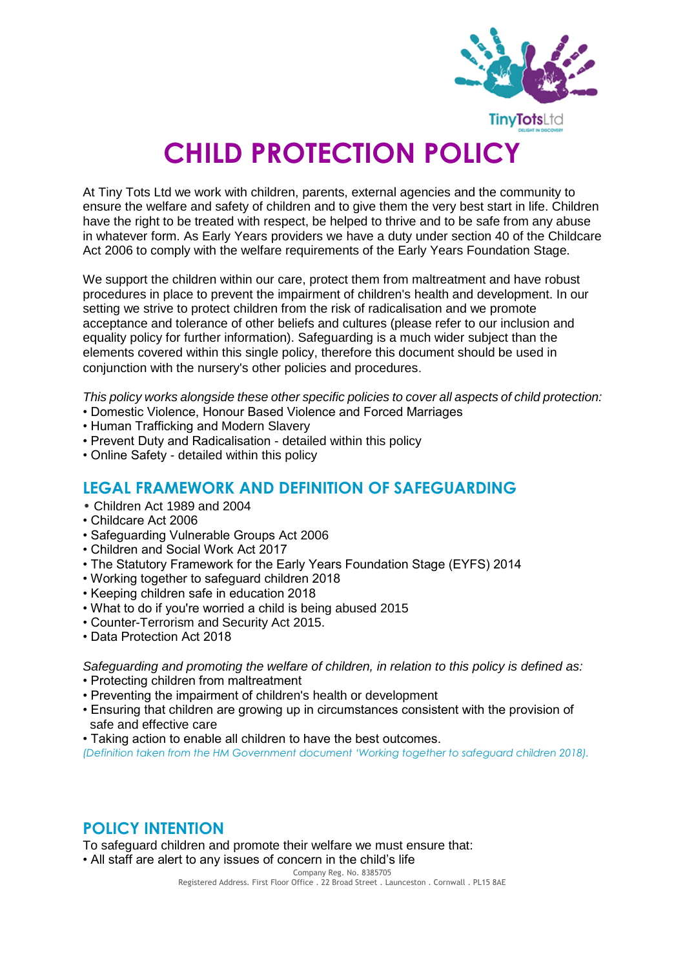

# **CHILD PROTECTION POLICY**

At Tiny Tots Ltd we work with children, parents, external agencies and the community to ensure the welfare and safety of children and to give them the very best start in life. Children have the right to be treated with respect, be helped to thrive and to be safe from any abuse in whatever form. As Early Years providers we have a duty under section 40 of the Childcare Act 2006 to comply with the welfare requirements of the Early Years Foundation Stage.

We support the children within our care, protect them from maltreatment and have robust procedures in place to prevent the impairment of children's health and development. In our setting we strive to protect children from the risk of radicalisation and we promote acceptance and tolerance of other beliefs and cultures (please refer to our inclusion and equality policy for further information). Safeguarding is a much wider subject than the elements covered within this single policy, therefore this document should be used in conjunction with the nursery's other policies and procedures.

*This policy works alongside these other specific policies to cover all aspects of child protection:*

- Domestic Violence, Honour Based Violence and Forced Marriages
- Human Trafficking and Modern Slavery
- Prevent Duty and Radicalisation detailed within this policy
- Online Safety detailed within this policy

## **LEGAL FRAMEWORK AND DEFINITION OF SAFEGUARDING**

- Children Act 1989 and 2004
- Childcare Act 2006
- Safeguarding Vulnerable Groups Act 2006
- Children and Social Work Act 2017
- The Statutory Framework for the Early Years Foundation Stage (EYFS) 2014
- Working together to safeguard children 2018
- Keeping children safe in education 2018
- What to do if you're worried a child is being abused 2015
- Counter-Terrorism and Security Act 2015.
- Data Protection Act 2018

*Safeguarding and promoting the welfare of children, in relation to this policy is defined as:*

- Protecting children from maltreatment
- Preventing the impairment of children's health or development
- Ensuring that children are growing up in circumstances consistent with the provision of safe and effective care
- Taking action to enable all children to have the best outcomes.

*(Definition taken from the HM Government document 'Working together to safeguard children 2018).*

## **POLICY INTENTION**

To safeguard children and promote their welfare we must ensure that:

• All staff are alert to any issues of concern in the child's life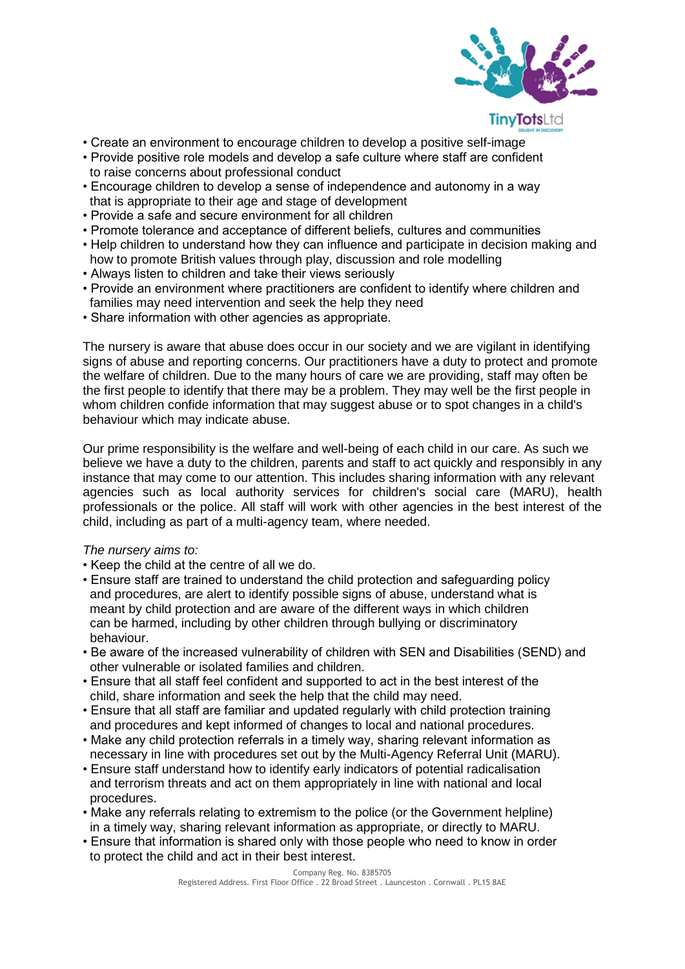

- Create an environment to encourage children to develop a positive self-image
- Provide positive role models and develop a safe culture where staff are confident to raise concerns about professional conduct
- Encourage children to develop a sense of independence and autonomy in a way that is appropriate to their age and stage of development
- Provide a safe and secure environment for all children
- Promote tolerance and acceptance of different beliefs, cultures and communities
- Help children to understand how they can influence and participate in decision making and how to promote British values through play, discussion and role modelling
- Always listen to children and take their views seriously
- Provide an environment where practitioners are confident to identify where children and families may need intervention and seek the help they need
- Share information with other agencies as appropriate.

The nursery is aware that abuse does occur in our society and we are vigilant in identifying signs of abuse and reporting concerns. Our practitioners have a duty to protect and promote the welfare of children. Due to the many hours of care we are providing, staff may often be the first people to identify that there may be a problem. They may well be the first people in whom children confide information that may suggest abuse or to spot changes in a child's behaviour which may indicate abuse.

Our prime responsibility is the welfare and well-being of each child in our care. As such we believe we have a duty to the children, parents and staff to act quickly and responsibly in any instance that may come to our attention. This includes sharing information with any relevant agencies such as local authority services for children's social care (MARU), health professionals or the police. All staff will work with other agencies in the best interest of the child, including as part of a multi-agency team, where needed.

#### *The nursery aims to:*

- Keep the child at the centre of all we do.
- Ensure staff are trained to understand the child protection and safeguarding policy and procedures, are alert to identify possible signs of abuse, understand what is meant by child protection and are aware of the different ways in which children can be harmed, including by other children through bullying or discriminatory behaviour.
- Be aware of the increased vulnerability of children with SEN and Disabilities (SEND) and other vulnerable or isolated families and children.
- Ensure that all staff feel confident and supported to act in the best interest of the child, share information and seek the help that the child may need.
- Ensure that all staff are familiar and updated regularly with child protection training and procedures and kept informed of changes to local and national procedures.
- Make any child protection referrals in a timely way, sharing relevant information as necessary in line with procedures set out by the Multi-Agency Referral Unit (MARU).
- Ensure staff understand how to identify early indicators of potential radicalisation and terrorism threats and act on them appropriately in line with national and local procedures.
- Make any referrals relating to extremism to the police (or the Government helpline) in a timely way, sharing relevant information as appropriate, or directly to MARU.
- Ensure that information is shared only with those people who need to know in order to protect the child and act in their best interest.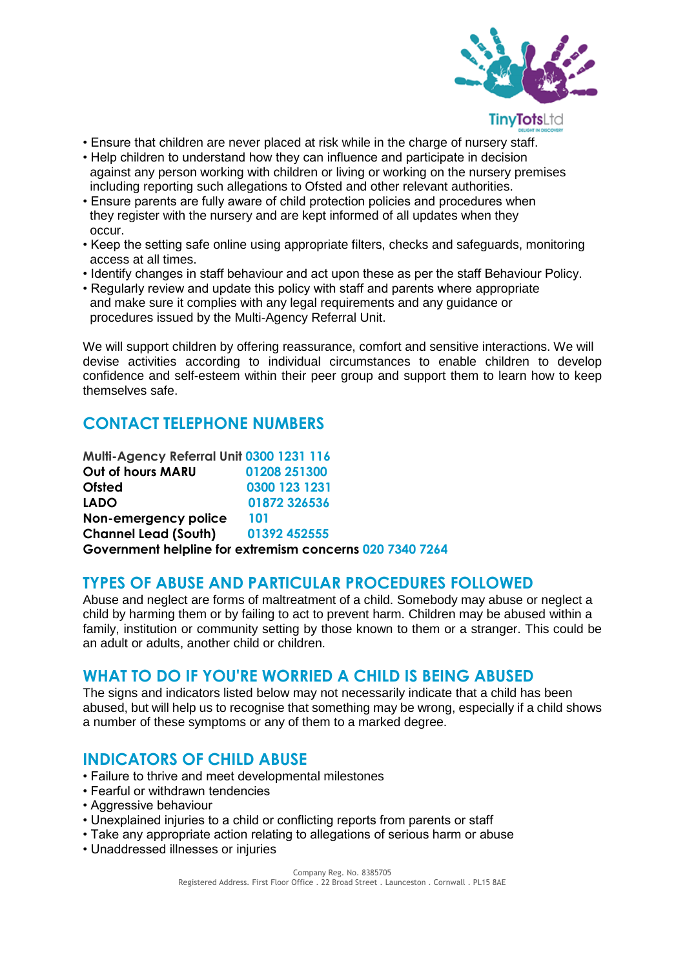

- Ensure that children are never placed at risk while in the charge of nursery staff.
- Help children to understand how they can influence and participate in decision against any person working with children or living or working on the nursery premises including reporting such allegations to Ofsted and other relevant authorities.
- Ensure parents are fully aware of child protection policies and procedures when they register with the nursery and are kept informed of all updates when they occur.
- Keep the setting safe online using appropriate filters, checks and safeguards, monitoring access at all times.
- Identify changes in staff behaviour and act upon these as per the staff Behaviour Policy.
- Regularly review and update this policy with staff and parents where appropriate and make sure it complies with any legal requirements and any guidance or procedures issued by the Multi-Agency Referral Unit.

We will support children by offering reassurance, comfort and sensitive interactions. We will devise activities according to individual circumstances to enable children to develop confidence and self-esteem within their peer group and support them to learn how to keep themselves safe.

## **CONTACT TELEPHONE NUMBERS**

| Multi-Agency Referral Unit 0300 1231 116 |                                                          |
|------------------------------------------|----------------------------------------------------------|
| Out of hours MARU                        | 01208 251300                                             |
| <b>Ofsted</b>                            | 0300 123 1231                                            |
| <b>LADO</b>                              | 01872 326536                                             |
| Non-emergency police                     | 101                                                      |
| <b>Channel Lead (South)</b>              | 01392 452555                                             |
|                                          | Government helpline for extremism concerns 020 7340 7264 |

## **TYPES OF ABUSE AND PARTICULAR PROCEDURES FOLLOWED**

Abuse and neglect are forms of maltreatment of a child. Somebody may abuse or neglect a child by harming them or by failing to act to prevent harm. Children may be abused within a family, institution or community setting by those known to them or a stranger. This could be an adult or adults, another child or children.

#### **WHAT TO DO IF YOU'RE WORRIED A CHILD IS BEING ABUSED**

The signs and indicators listed below may not necessarily indicate that a child has been abused, but will help us to recognise that something may be wrong, especially if a child shows a number of these symptoms or any of them to a marked degree.

## **INDICATORS OF CHILD ABUSE**

- Failure to thrive and meet developmental milestones
- Fearful or withdrawn tendencies
- Aggressive behaviour
- Unexplained injuries to a child or conflicting reports from parents or staff
- Take any appropriate action relating to allegations of serious harm or abuse
- Unaddressed illnesses or injuries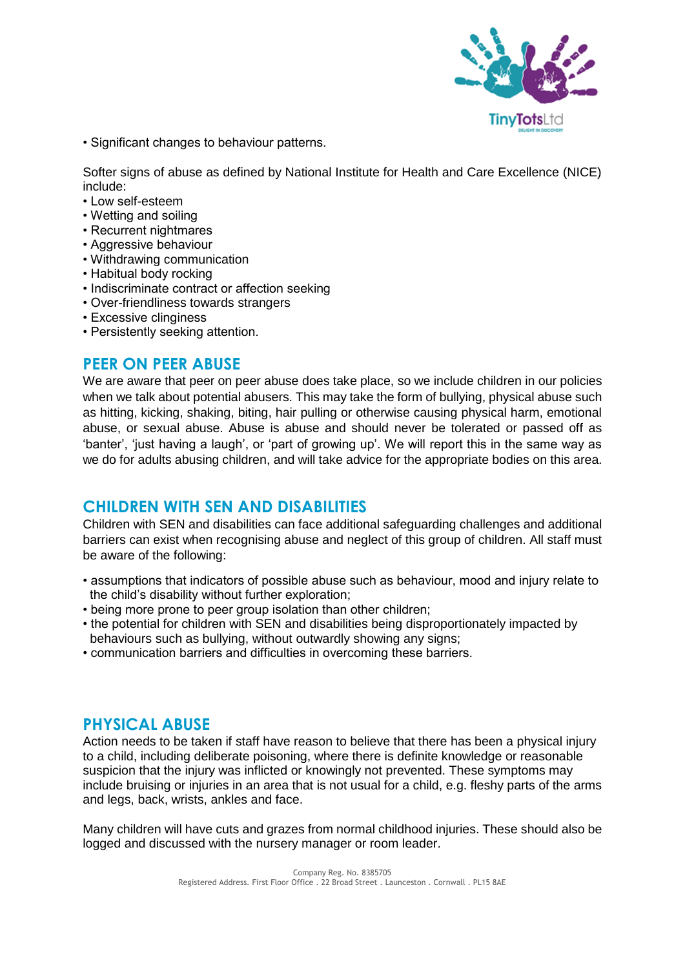

• Significant changes to behaviour patterns.

Softer signs of abuse as defined by National Institute for Health and Care Excellence (NICE) include:

- Low self-esteem
- Wetting and soiling
- Recurrent nightmares
- Aggressive behaviour
- Withdrawing communication
- Habitual body rocking
- Indiscriminate contract or affection seeking
- Over-friendliness towards strangers
- Excessive clinginess
- Persistently seeking attention.

#### **PEER ON PEER ABUSE**

We are aware that peer on peer abuse does take place, so we include children in our policies when we talk about potential abusers. This may take the form of bullying, physical abuse such as hitting, kicking, shaking, biting, hair pulling or otherwise causing physical harm, emotional abuse, or sexual abuse. Abuse is abuse and should never be tolerated or passed off as 'banter', 'just having a laugh', or 'part of growing up'. We will report this in the same way as we do for adults abusing children, and will take advice for the appropriate bodies on this area.

#### **CHILDREN WITH SEN AND DISABILITIES**

Children with SEN and disabilities can face additional safeguarding challenges and additional barriers can exist when recognising abuse and neglect of this group of children. All staff must be aware of the following:

- assumptions that indicators of possible abuse such as behaviour, mood and injury relate to the child's disability without further exploration;
- being more prone to peer group isolation than other children;
- the potential for children with SEN and disabilities being disproportionately impacted by behaviours such as bullying, without outwardly showing any signs;
- communication barriers and difficulties in overcoming these barriers.

#### **PHYSICAL ABUSE**

Action needs to be taken if staff have reason to believe that there has been a physical injury to a child, including deliberate poisoning, where there is definite knowledge or reasonable suspicion that the injury was inflicted or knowingly not prevented. These symptoms may include bruising or injuries in an area that is not usual for a child, e.g. fleshy parts of the arms and legs, back, wrists, ankles and face.

Many children will have cuts and grazes from normal childhood injuries. These should also be logged and discussed with the nursery manager or room leader.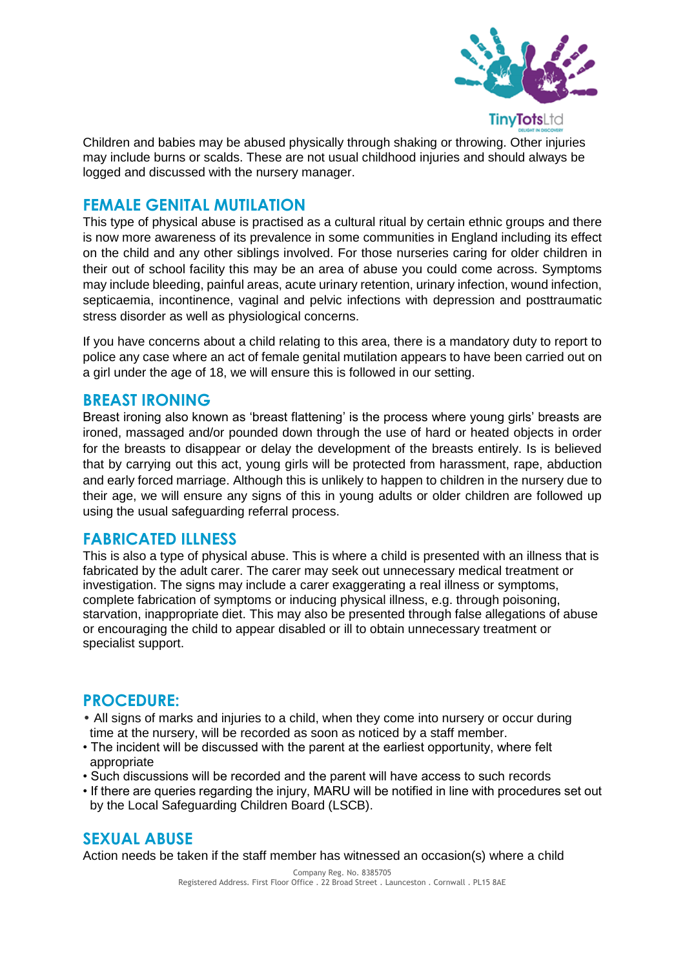

Children and babies may be abused physically through shaking or throwing. Other injuries may include burns or scalds. These are not usual childhood injuries and should always be logged and discussed with the nursery manager.

### **FEMALE GENITAL MUTILATION**

This type of physical abuse is practised as a cultural ritual by certain ethnic groups and there is now more awareness of its prevalence in some communities in England including its effect on the child and any other siblings involved. For those nurseries caring for older children in their out of school facility this may be an area of abuse you could come across. Symptoms may include bleeding, painful areas, acute urinary retention, urinary infection, wound infection, septicaemia, incontinence, vaginal and pelvic infections with depression and posttraumatic stress disorder as well as physiological concerns.

If you have concerns about a child relating to this area, there is a mandatory duty to report to police any case where an act of female genital mutilation appears to have been carried out on a girl under the age of 18, we will ensure this is followed in our setting.

#### **BREAST IRONING**

Breast ironing also known as 'breast flattening' is the process where young girls' breasts are ironed, massaged and/or pounded down through the use of hard or heated objects in order for the breasts to disappear or delay the development of the breasts entirely. Is is believed that by carrying out this act, young girls will be protected from harassment, rape, abduction and early forced marriage. Although this is unlikely to happen to children in the nursery due to their age, we will ensure any signs of this in young adults or older children are followed up using the usual safeguarding referral process.

#### **FABRICATED ILLNESS**

This is also a type of physical abuse. This is where a child is presented with an illness that is fabricated by the adult carer. The carer may seek out unnecessary medical treatment or investigation. The signs may include a carer exaggerating a real illness or symptoms, complete fabrication of symptoms or inducing physical illness, e.g. through poisoning, starvation, inappropriate diet. This may also be presented through false allegations of abuse or encouraging the child to appear disabled or ill to obtain unnecessary treatment or specialist support.

## **PROCEDURE:**

- All signs of marks and injuries to a child, when they come into nursery or occur during time at the nursery, will be recorded as soon as noticed by a staff member.
- The incident will be discussed with the parent at the earliest opportunity, where felt appropriate
- Such discussions will be recorded and the parent will have access to such records
- If there are queries regarding the injury, MARU will be notified in line with procedures set out by the Local Safeguarding Children Board (LSCB).

## **SEXUAL ABUSE**

Action needs be taken if the staff member has witnessed an occasion(s) where a child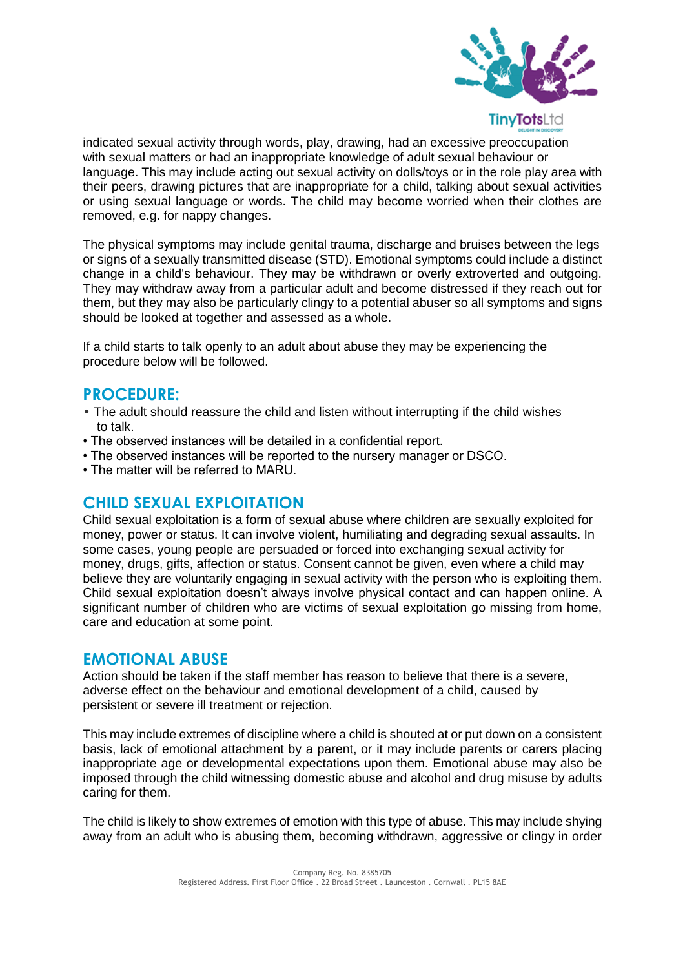

indicated sexual activity through words, play, drawing, had an excessive preoccupation with sexual matters or had an inappropriate knowledge of adult sexual behaviour or language. This may include acting out sexual activity on dolls/toys or in the role play area with their peers, drawing pictures that are inappropriate for a child, talking about sexual activities or using sexual language or words. The child may become worried when their clothes are removed, e.g. for nappy changes.

The physical symptoms may include genital trauma, discharge and bruises between the legs or signs of a sexually transmitted disease (STD). Emotional symptoms could include a distinct change in a child's behaviour. They may be withdrawn or overly extroverted and outgoing. They may withdraw away from a particular adult and become distressed if they reach out for them, but they may also be particularly clingy to a potential abuser so all symptoms and signs should be looked at together and assessed as a whole.

If a child starts to talk openly to an adult about abuse they may be experiencing the procedure below will be followed.

#### **PROCEDURE:**

- The adult should reassure the child and listen without interrupting if the child wishes to talk.
- The observed instances will be detailed in a confidential report.
- The observed instances will be reported to the nursery manager or DSCO.
- The matter will be referred to MARU.

#### **CHILD SEXUAL EXPLOITATION**

Child sexual exploitation is a form of sexual abuse where children are sexually exploited for money, power or status. It can involve violent, humiliating and degrading sexual assaults. In some cases, young people are persuaded or forced into exchanging sexual activity for money, drugs, gifts, affection or status. Consent cannot be given, even where a child may believe they are voluntarily engaging in sexual activity with the person who is exploiting them. Child sexual exploitation doesn't always involve physical contact and can happen online. A significant number of children who are victims of sexual exploitation go missing from home, care and education at some point.

#### **EMOTIONAL ABUSE**

Action should be taken if the staff member has reason to believe that there is a severe, adverse effect on the behaviour and emotional development of a child, caused by persistent or severe ill treatment or rejection.

This may include extremes of discipline where a child is shouted at or put down on a consistent basis, lack of emotional attachment by a parent, or it may include parents or carers placing inappropriate age or developmental expectations upon them. Emotional abuse may also be imposed through the child witnessing domestic abuse and alcohol and drug misuse by adults caring for them.

The child is likely to show extremes of emotion with this type of abuse. This may include shying away from an adult who is abusing them, becoming withdrawn, aggressive or clingy in order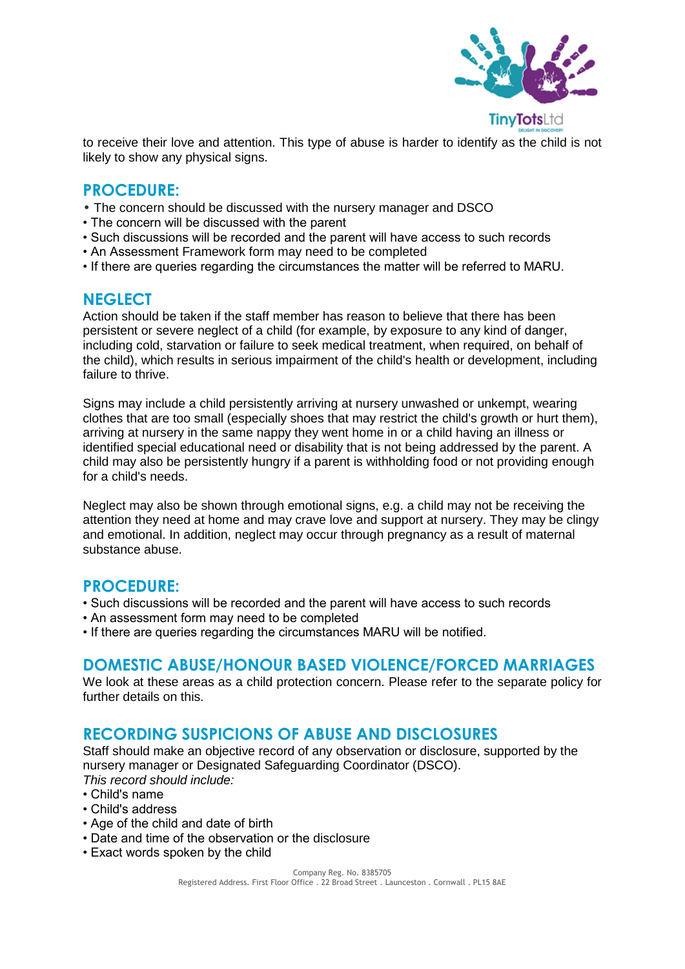

to receive their love and attention. This type of abuse is harder to identify as the child is not likely to show any physical signs.

## **PROCEDURE:**

- The concern should be discussed with the nursery manager and DSCO
- The concern will be discussed with the parent
- Such discussions will be recorded and the parent will have access to such records
- An Assessment Framework form may need to be completed
- If there are queries regarding the circumstances the matter will be referred to MARU.

#### **NEGLECT**

Action should be taken if the staff member has reason to believe that there has been persistent or severe neglect of a child (for example, by exposure to any kind of danger, including cold, starvation or failure to seek medical treatment, when required, on behalf of the child), which results in serious impairment of the child's health or development, including failure to thrive.

Signs may include a child persistently arriving at nursery unwashed or unkempt, wearing clothes that are too small (especially shoes that may restrict the child's growth or hurt them), arriving at nursery in the same nappy they went home in or a child having an illness or identified special educational need or disability that is not being addressed by the parent. A child may also be persistently hungry if a parent is withholding food or not providing enough for a child's needs.

Neglect may also be shown through emotional signs, e.g. a child may not be receiving the attention they need at home and may crave love and support at nursery. They may be clingy and emotional. In addition, neglect may occur through pregnancy as a result of maternal substance abuse.

#### **PROCEDURE:**

- Such discussions will be recorded and the parent will have access to such records
- An assessment form may need to be completed
- If there are queries regarding the circumstances MARU will be notified.

#### **DOMESTIC ABUSE/HONOUR BASED VIOLENCE/FORCED MARRIAGES**

We look at these areas as a child protection concern. Please refer to the separate policy for further details on this.

#### **RECORDING SUSPICIONS OF ABUSE AND DISCLOSURES**

Staff should make an objective record of any observation or disclosure, supported by the nursery manager or Designated Safeguarding Coordinator (DSCO). *This record should include:*

- Child's name
- Child's address
- Age of the child and date of birth
- Date and time of the observation or the disclosure
- Exact words spoken by the child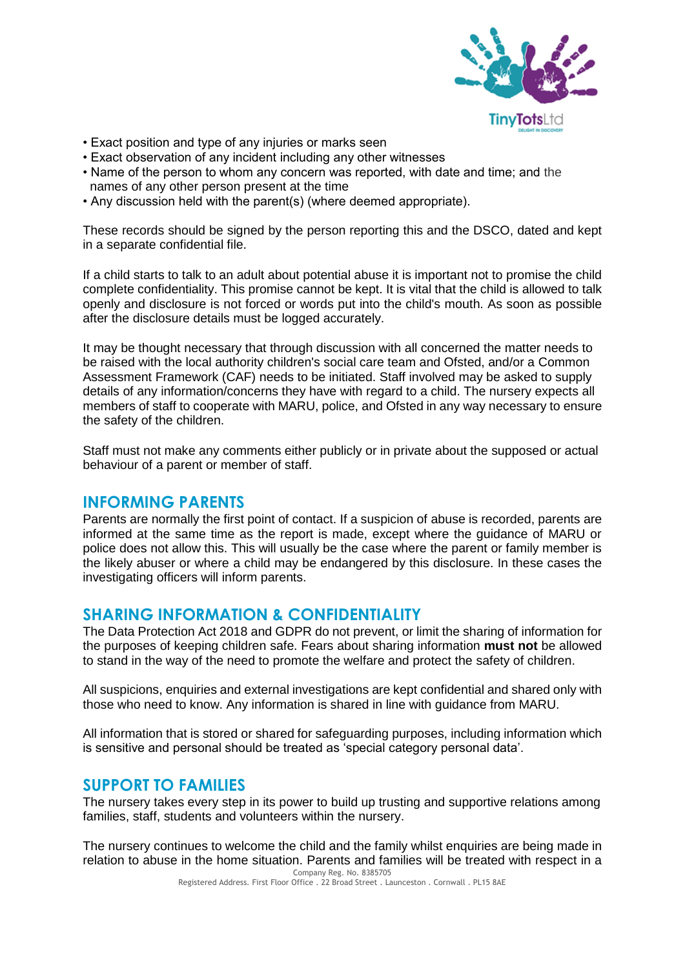

- Exact position and type of any injuries or marks seen
- Exact observation of any incident including any other witnesses
- Name of the person to whom any concern was reported, with date and time; and the names of any other person present at the time
- Any discussion held with the parent(s) (where deemed appropriate).

These records should be signed by the person reporting this and the DSCO, dated and kept in a separate confidential file.

If a child starts to talk to an adult about potential abuse it is important not to promise the child complete confidentiality. This promise cannot be kept. It is vital that the child is allowed to talk openly and disclosure is not forced or words put into the child's mouth. As soon as possible after the disclosure details must be logged accurately.

It may be thought necessary that through discussion with all concerned the matter needs to be raised with the local authority children's social care team and Ofsted, and/or a Common Assessment Framework (CAF) needs to be initiated. Staff involved may be asked to supply details of any information/concerns they have with regard to a child. The nursery expects all members of staff to cooperate with MARU, police, and Ofsted in any way necessary to ensure the safety of the children.

Staff must not make any comments either publicly or in private about the supposed or actual behaviour of a parent or member of staff.

#### **INFORMING PARENTS**

Parents are normally the first point of contact. If a suspicion of abuse is recorded, parents are informed at the same time as the report is made, except where the guidance of MARU or police does not allow this. This will usually be the case where the parent or family member is the likely abuser or where a child may be endangered by this disclosure. In these cases the investigating officers will inform parents.

#### **SHARING INFORMATION & CONFIDENTIALITY**

The Data Protection Act 2018 and GDPR do not prevent, or limit the sharing of information for the purposes of keeping children safe. Fears about sharing information **must not** be allowed to stand in the way of the need to promote the welfare and protect the safety of children.

All suspicions, enquiries and external investigations are kept confidential and shared only with those who need to know. Any information is shared in line with guidance from MARU.

All information that is stored or shared for safeguarding purposes, including information which is sensitive and personal should be treated as 'special category personal data'.

#### **SUPPORT TO FAMILIES**

The nursery takes every step in its power to build up trusting and supportive relations among families, staff, students and volunteers within the nursery.

The nursery continues to welcome the child and the family whilst enquiries are being made in relation to abuse in the home situation. Parents and families will be treated with respect in a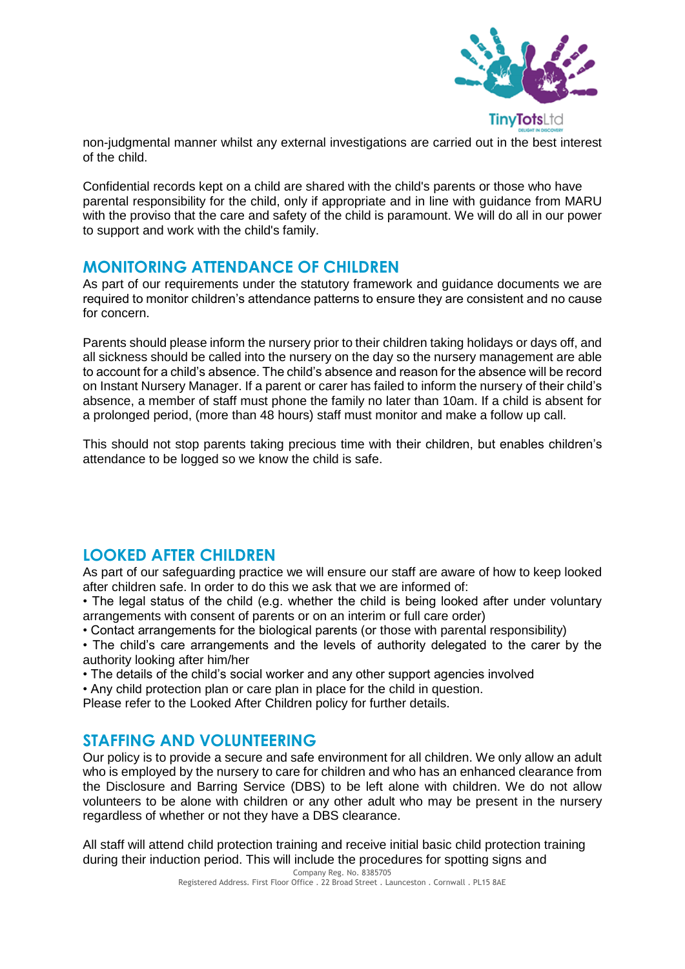

non-judgmental manner whilst any external investigations are carried out in the best interest of the child.

Confidential records kept on a child are shared with the child's parents or those who have parental responsibility for the child, only if appropriate and in line with guidance from MARU with the proviso that the care and safety of the child is paramount. We will do all in our power to support and work with the child's family.

#### **MONITORING ATTENDANCE OF CHILDREN**

As part of our requirements under the statutory framework and guidance documents we are required to monitor children's attendance patterns to ensure they are consistent and no cause for concern.

Parents should please inform the nursery prior to their children taking holidays or days off, and all sickness should be called into the nursery on the day so the nursery management are able to account for a child's absence. The child's absence and reason for the absence will be record on Instant Nursery Manager. If a parent or carer has failed to inform the nursery of their child's absence, a member of staff must phone the family no later than 10am. If a child is absent for a prolonged period, (more than 48 hours) staff must monitor and make a follow up call.

This should not stop parents taking precious time with their children, but enables children's attendance to be logged so we know the child is safe.

## **LOOKED AFTER CHILDREN**

As part of our safeguarding practice we will ensure our staff are aware of how to keep looked after children safe. In order to do this we ask that we are informed of:

• The legal status of the child (e.g. whether the child is being looked after under voluntary arrangements with consent of parents or on an interim or full care order)

• Contact arrangements for the biological parents (or those with parental responsibility)

• The child's care arrangements and the levels of authority delegated to the carer by the authority looking after him/her

- The details of the child's social worker and any other support agencies involved
- Any child protection plan or care plan in place for the child in question.

Please refer to the Looked After Children policy for further details.

## **STAFFING AND VOLUNTEERING**

Our policy is to provide a secure and safe environment for all children. We only allow an adult who is employed by the nursery to care for children and who has an enhanced clearance from the Disclosure and Barring Service (DBS) to be left alone with children. We do not allow volunteers to be alone with children or any other adult who may be present in the nursery regardless of whether or not they have a DBS clearance.

All staff will attend child protection training and receive initial basic child protection training during their induction period. This will include the procedures for spotting signs and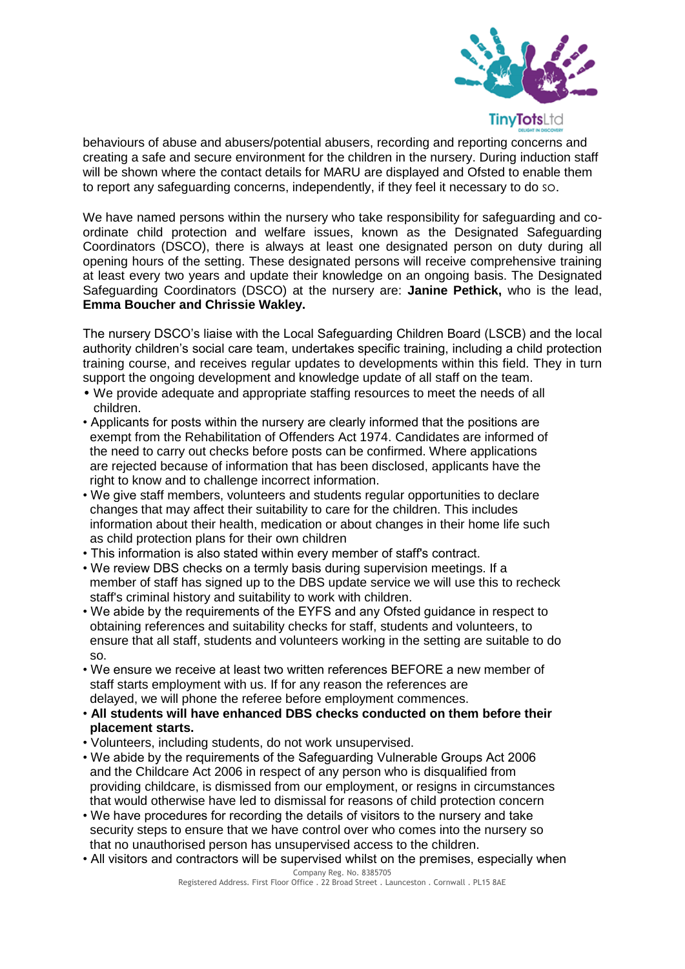

behaviours of abuse and abusers/potential abusers, recording and reporting concerns and creating a safe and secure environment for the children in the nursery. During induction staff will be shown where the contact details for MARU are displayed and Ofsted to enable them to report any safeguarding concerns, independently, if they feel it necessary to do so.

We have named persons within the nursery who take responsibility for safeguarding and coordinate child protection and welfare issues, known as the Designated Safeguarding Coordinators (DSCO), there is always at least one designated person on duty during all opening hours of the setting. These designated persons will receive comprehensive training at least every two years and update their knowledge on an ongoing basis. The Designated Safeguarding Coordinators (DSCO) at the nursery are: **Janine Pethick,** who is the lead, **Emma Boucher and Chrissie Wakley.** 

The nursery DSCO's liaise with the Local Safeguarding Children Board (LSCB) and the local authority children's social care team, undertakes specific training, including a child protection training course, and receives regular updates to developments within this field. They in turn support the ongoing development and knowledge update of all staff on the team.

- We provide adequate and appropriate staffing resources to meet the needs of all children.
- Applicants for posts within the nursery are clearly informed that the positions are exempt from the Rehabilitation of Offenders Act 1974. Candidates are informed of the need to carry out checks before posts can be confirmed. Where applications are rejected because of information that has been disclosed, applicants have the right to know and to challenge incorrect information.
- We give staff members, volunteers and students regular opportunities to declare changes that may affect their suitability to care for the children. This includes information about their health, medication or about changes in their home life such as child protection plans for their own children
- This information is also stated within every member of staff's contract.
- We review DBS checks on a termly basis during supervision meetings. If a member of staff has signed up to the DBS update service we will use this to recheck staff's criminal history and suitability to work with children.
- We abide by the requirements of the EYFS and any Ofsted guidance in respect to obtaining references and suitability checks for staff, students and volunteers, to ensure that all staff, students and volunteers working in the setting are suitable to do so.
- We ensure we receive at least two written references BEFORE a new member of staff starts employment with us. If for any reason the references are delayed, we will phone the referee before employment commences.
- **All students will have enhanced DBS checks conducted on them before their placement starts.**
- Volunteers, including students, do not work unsupervised.
- We abide by the requirements of the Safeguarding Vulnerable Groups Act 2006 and the Childcare Act 2006 in respect of any person who is disqualified from providing childcare, is dismissed from our employment, or resigns in circumstances that would otherwise have led to dismissal for reasons of child protection concern
- We have procedures for recording the details of visitors to the nursery and take security steps to ensure that we have control over who comes into the nursery so that no unauthorised person has unsupervised access to the children.
- Company Reg. No. 8385705 • All visitors and contractors will be supervised whilst on the premises, especially when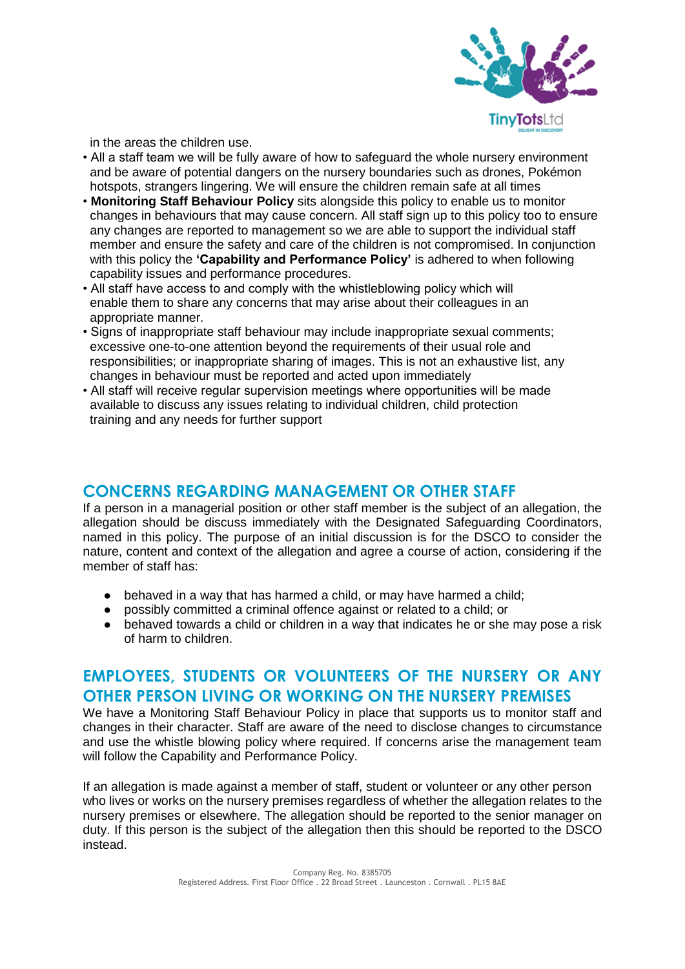

in the areas the children use.

- All a staff team we will be fully aware of how to safeguard the whole nursery environment and be aware of potential dangers on the nursery boundaries such as drones, Pokémon hotspots, strangers lingering. We will ensure the children remain safe at all times
- **Monitoring Staff Behaviour Policy** sits alongside this policy to enable us to monitor changes in behaviours that may cause concern. All staff sign up to this policy too to ensure any changes are reported to management so we are able to support the individual staff member and ensure the safety and care of the children is not compromised. In conjunction with this policy the **'Capability and Performance Policy'** is adhered to when following capability issues and performance procedures.
- All staff have access to and comply with the whistleblowing policy which will enable them to share any concerns that may arise about their colleagues in an appropriate manner.
- Signs of inappropriate staff behaviour may include inappropriate sexual comments; excessive one-to-one attention beyond the requirements of their usual role and responsibilities; or inappropriate sharing of images. This is not an exhaustive list, any changes in behaviour must be reported and acted upon immediately
- All staff will receive regular supervision meetings where opportunities will be made available to discuss any issues relating to individual children, child protection training and any needs for further support

## **CONCERNS REGARDING MANAGEMENT OR OTHER STAFF**

If a person in a managerial position or other staff member is the subject of an allegation, the allegation should be discuss immediately with the Designated Safeguarding Coordinators, named in this policy. The purpose of an initial discussion is for the DSCO to consider the nature, content and context of the allegation and agree a course of action, considering if the member of staff has:

- behaved in a way that has harmed a child, or may have harmed a child;
- possibly committed a criminal offence against or related to a child; or
- behaved towards a child or children in a way that indicates he or she may pose a risk of harm to children.

## **EMPLOYEES, STUDENTS OR VOLUNTEERS OF THE NURSERY OR ANY OTHER PERSON LIVING OR WORKING ON THE NURSERY PREMISES**

We have a Monitoring Staff Behaviour Policy in place that supports us to monitor staff and changes in their character. Staff are aware of the need to disclose changes to circumstance and use the whistle blowing policy where required. If concerns arise the management team will follow the Capability and Performance Policy.

If an allegation is made against a member of staff, student or volunteer or any other person who lives or works on the nursery premises regardless of whether the allegation relates to the nursery premises or elsewhere. The allegation should be reported to the senior manager on duty. If this person is the subject of the allegation then this should be reported to the DSCO instead.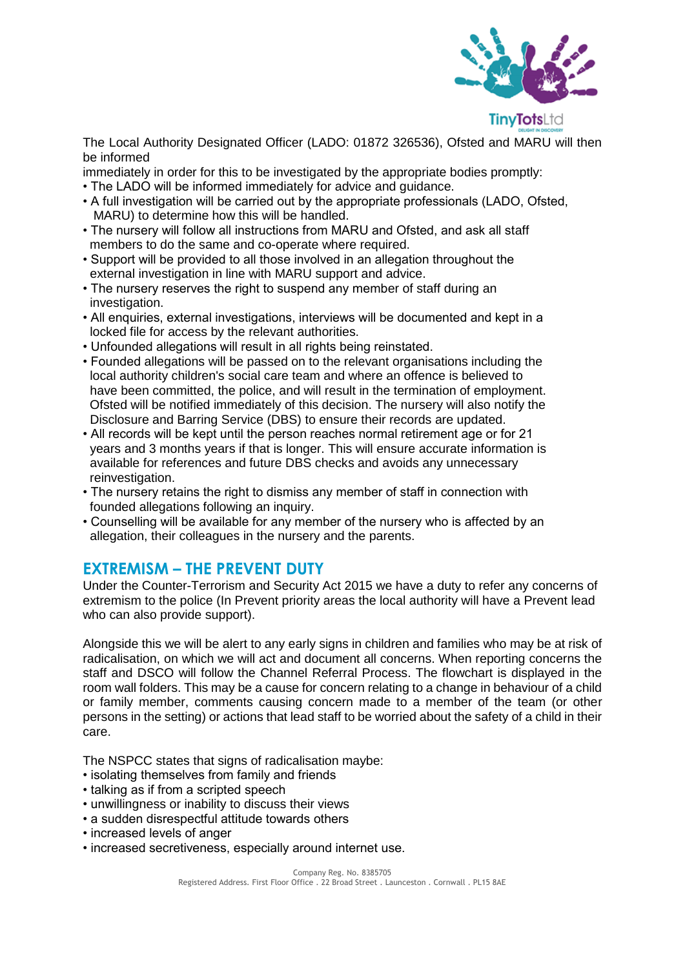

The Local Authority Designated Officer (LADO: 01872 326536), Ofsted and MARU will then be informed

immediately in order for this to be investigated by the appropriate bodies promptly:

- The LADO will be informed immediately for advice and guidance.
- A full investigation will be carried out by the appropriate professionals (LADO, Ofsted, MARU) to determine how this will be handled.
- The nursery will follow all instructions from MARU and Ofsted, and ask all staff members to do the same and co-operate where required.
- Support will be provided to all those involved in an allegation throughout the external investigation in line with MARU support and advice.
- The nursery reserves the right to suspend any member of staff during an investigation.
- All enquiries, external investigations, interviews will be documented and kept in a locked file for access by the relevant authorities.
- Unfounded allegations will result in all rights being reinstated.
- Founded allegations will be passed on to the relevant organisations including the local authority children's social care team and where an offence is believed to have been committed, the police, and will result in the termination of employment. Ofsted will be notified immediately of this decision. The nursery will also notify the Disclosure and Barring Service (DBS) to ensure their records are updated.
- All records will be kept until the person reaches normal retirement age or for 21 years and 3 months years if that is longer. This will ensure accurate information is available for references and future DBS checks and avoids any unnecessary reinvestigation.
- The nursery retains the right to dismiss any member of staff in connection with founded allegations following an inquiry.
- Counselling will be available for any member of the nursery who is affected by an allegation, their colleagues in the nursery and the parents.

## **EXTREMISM – THE PREVENT DUTY**

Under the Counter-Terrorism and Security Act 2015 we have a duty to refer any concerns of extremism to the police (In Prevent priority areas the local authority will have a Prevent lead who can also provide support).

Alongside this we will be alert to any early signs in children and families who may be at risk of radicalisation, on which we will act and document all concerns. When reporting concerns the staff and DSCO will follow the Channel Referral Process. The flowchart is displayed in the room wall folders. This may be a cause for concern relating to a change in behaviour of a child or family member, comments causing concern made to a member of the team (or other persons in the setting) or actions that lead staff to be worried about the safety of a child in their care.

The NSPCC states that signs of radicalisation maybe:

- isolating themselves from family and friends
- talking as if from a scripted speech
- unwillingness or inability to discuss their views
- a sudden disrespectful attitude towards others
- increased levels of anger
- increased secretiveness, especially around internet use.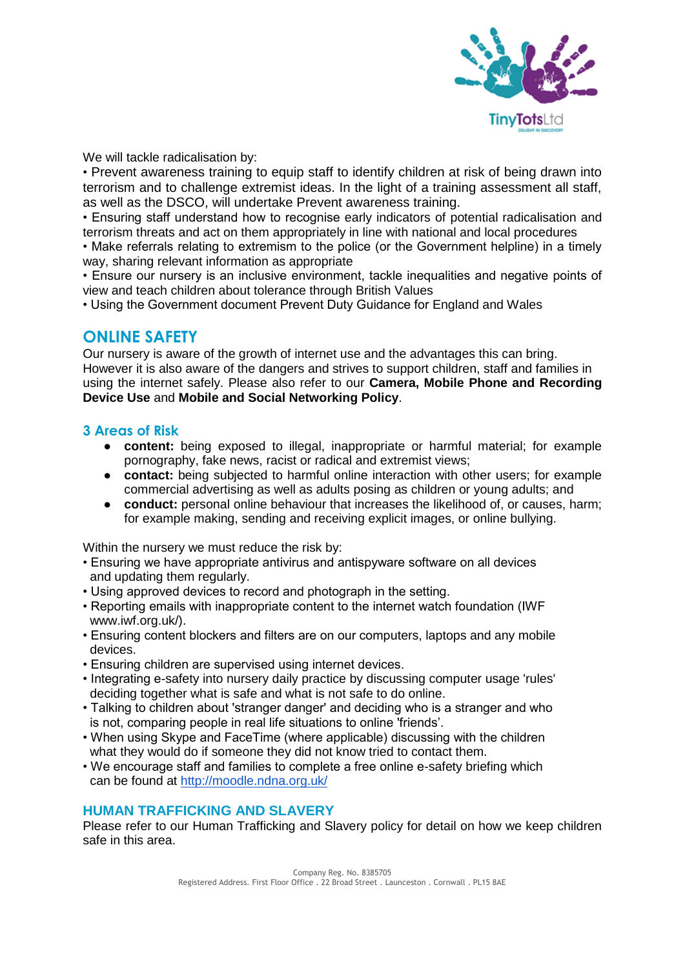

We will tackle radicalisation by:

• Prevent awareness training to equip staff to identify children at risk of being drawn into terrorism and to challenge extremist ideas. In the light of a training assessment all staff, as well as the DSCO, will undertake Prevent awareness training.

• Ensuring staff understand how to recognise early indicators of potential radicalisation and terrorism threats and act on them appropriately in line with national and local procedures

• Make referrals relating to extremism to the police (or the Government helpline) in a timely way, sharing relevant information as appropriate

• Ensure our nursery is an inclusive environment, tackle inequalities and negative points of view and teach children about tolerance through British Values

• Using the Government document Prevent Duty Guidance for England and Wales

## **ONLINE SAFETY**

Our nursery is aware of the growth of internet use and the advantages this can bring. However it is also aware of the dangers and strives to support children, staff and families in using the internet safely. Please also refer to our **Camera, Mobile Phone and Recording Device Use** and **Mobile and Social Networking Policy**.

#### **3 Areas of Risk**

- **content:** being exposed to illegal, inappropriate or harmful material; for example pornography, fake news, racist or radical and extremist views;
- **contact:** being subjected to harmful online interaction with other users; for example commercial advertising as well as adults posing as children or young adults; and
- **conduct:** personal online behaviour that increases the likelihood of, or causes, harm; for example making, sending and receiving explicit images, or online bullying.

Within the nursery we must reduce the risk by:

- Ensuring we have appropriate antivirus and antispyware software on all devices and updating them regularly.
- Using approved devices to record and photograph in the setting.
- Reporting emails with inappropriate content to the internet watch foundation (IWF www.iwf.org.uk/).
- Ensuring content blockers and filters are on our computers, laptops and any mobile devices.
- Ensuring children are supervised using internet devices.
- Integrating e-safety into nursery daily practice by discussing computer usage 'rules' deciding together what is safe and what is not safe to do online.
- Talking to children about 'stranger danger' and deciding who is a stranger and who is not, comparing people in real life situations to online 'friends'.
- When using Skype and FaceTime (where applicable) discussing with the children what they would do if someone they did not know tried to contact them.
- We encourage staff and families to complete a free online e-safety briefing which can be found at<http://moodle.ndna.org.uk/>

#### **HUMAN TRAFFICKING AND SLAVERY**

Please refer to our Human Trafficking and Slavery policy for detail on how we keep children safe in this area.